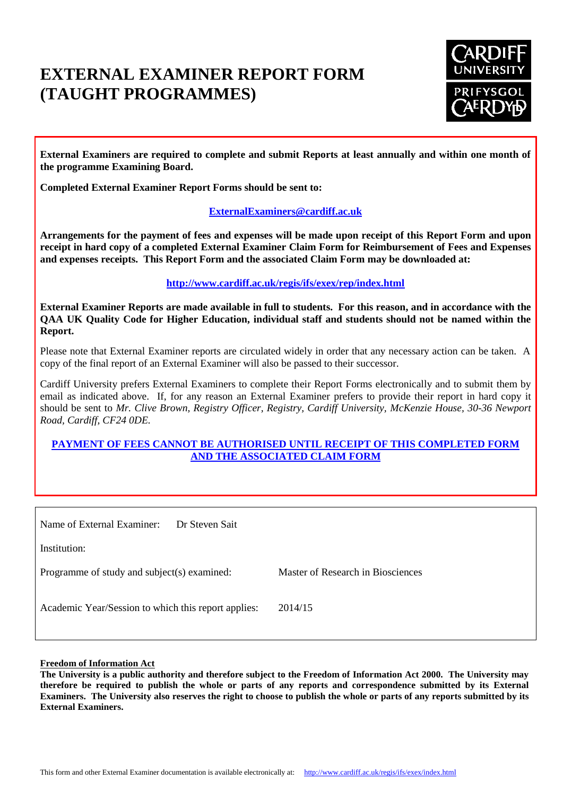# **EXTERNAL EXAMINER REPORT FORM (TAUGHT PROGRAMMES)**



**External Examiners are required to complete and submit Reports at least annually and within one month of the programme Examining Board.**

**Completed External Examiner Report Forms should be sent to:**

# **[ExternalExaminers@cardiff.ac.uk](mailto:ExternalExaminers@cardiff.ac.uk)**

**Arrangements for the payment of fees and expenses will be made upon receipt of this Report Form and upon receipt in hard copy of a completed External Examiner Claim Form for Reimbursement of Fees and Expenses and expenses receipts. This Report Form and the associated Claim Form may be downloaded at:**

# **<http://www.cardiff.ac.uk/regis/ifs/exex/rep/index.html>**

**External Examiner Reports are made available in full to students. For this reason, and in accordance with the QAA UK Quality Code for Higher Education, individual staff and students should not be named within the Report.**

Please note that External Examiner reports are circulated widely in order that any necessary action can be taken. A copy of the final report of an External Examiner will also be passed to their successor.

Cardiff University prefers External Examiners to complete their Report Forms electronically and to submit them by email as indicated above. If, for any reason an External Examiner prefers to provide their report in hard copy it should be sent to *Mr. Clive Brown, Registry Officer, Registry, Cardiff University, McKenzie House, 30-36 Newport Road, Cardiff, CF24 0DE.*

# **PAYMENT OF FEES CANNOT BE AUTHORISED UNTIL RECEIPT OF THIS COMPLETED FORM AND THE ASSOCIATED CLAIM FORM**

| Name of External Examiner:<br>Dr Steven Sait        |                                   |
|-----------------------------------------------------|-----------------------------------|
| Institution:                                        |                                   |
| Programme of study and subject(s) examined:         | Master of Research in Biosciences |
| Academic Year/Session to which this report applies: | 2014/15                           |

#### **Freedom of Information Act**

**The University is a public authority and therefore subject to the Freedom of Information Act 2000. The University may therefore be required to publish the whole or parts of any reports and correspondence submitted by its External Examiners. The University also reserves the right to choose to publish the whole or parts of any reports submitted by its External Examiners.**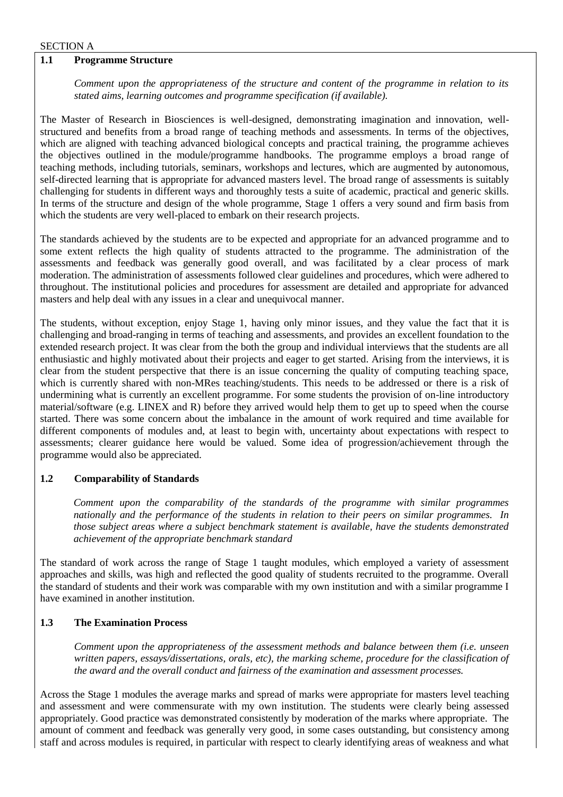#### SECTION A

### **1.1 Programme Structure**

*Comment upon the appropriateness of the structure and content of the programme in relation to its stated aims, learning outcomes and programme specification (if available).*

The Master of Research in Biosciences is well-designed, demonstrating imagination and innovation, wellstructured and benefits from a broad range of teaching methods and assessments. In terms of the objectives, which are aligned with teaching advanced biological concepts and practical training, the programme achieves the objectives outlined in the module/programme handbooks. The programme employs a broad range of teaching methods, including tutorials, seminars, workshops and lectures, which are augmented by autonomous, self-directed learning that is appropriate for advanced masters level. The broad range of assessments is suitably challenging for students in different ways and thoroughly tests a suite of academic, practical and generic skills. In terms of the structure and design of the whole programme, Stage 1 offers a very sound and firm basis from which the students are very well-placed to embark on their research projects.

The standards achieved by the students are to be expected and appropriate for an advanced programme and to some extent reflects the high quality of students attracted to the programme. The administration of the assessments and feedback was generally good overall, and was facilitated by a clear process of mark moderation. The administration of assessments followed clear guidelines and procedures, which were adhered to throughout. The institutional policies and procedures for assessment are detailed and appropriate for advanced masters and help deal with any issues in a clear and unequivocal manner.

The students, without exception, enjoy Stage 1, having only minor issues, and they value the fact that it is challenging and broad-ranging in terms of teaching and assessments, and provides an excellent foundation to the extended research project. It was clear from the both the group and individual interviews that the students are all enthusiastic and highly motivated about their projects and eager to get started. Arising from the interviews, it is clear from the student perspective that there is an issue concerning the quality of computing teaching space, which is currently shared with non-MRes teaching/students. This needs to be addressed or there is a risk of undermining what is currently an excellent programme. For some students the provision of on-line introductory material/software (e.g. LINEX and R) before they arrived would help them to get up to speed when the course started. There was some concern about the imbalance in the amount of work required and time available for different components of modules and, at least to begin with, uncertainty about expectations with respect to assessments; clearer guidance here would be valued. Some idea of progression/achievement through the programme would also be appreciated.

#### **1.2 Comparability of Standards**

*Comment upon the comparability of the standards of the programme with similar programmes nationally and the performance of the students in relation to their peers on similar programmes. In those subject areas where a subject benchmark statement is available, have the students demonstrated achievement of the appropriate benchmark standard*

The standard of work across the range of Stage 1 taught modules, which employed a variety of assessment approaches and skills, was high and reflected the good quality of students recruited to the programme. Overall the standard of students and their work was comparable with my own institution and with a similar programme I have examined in another institution.

#### **1.3 The Examination Process**

*Comment upon the appropriateness of the assessment methods and balance between them (i.e. unseen written papers, essays/dissertations, orals, etc), the marking scheme, procedure for the classification of the award and the overall conduct and fairness of the examination and assessment processes.*

Across the Stage 1 modules the average marks and spread of marks were appropriate for masters level teaching and assessment and were commensurate with my own institution. The students were clearly being assessed appropriately. Good practice was demonstrated consistently by moderation of the marks where appropriate. The amount of comment and feedback was generally very good, in some cases outstanding, but consistency among staff and across modules is required, in particular with respect to clearly identifying areas of weakness and what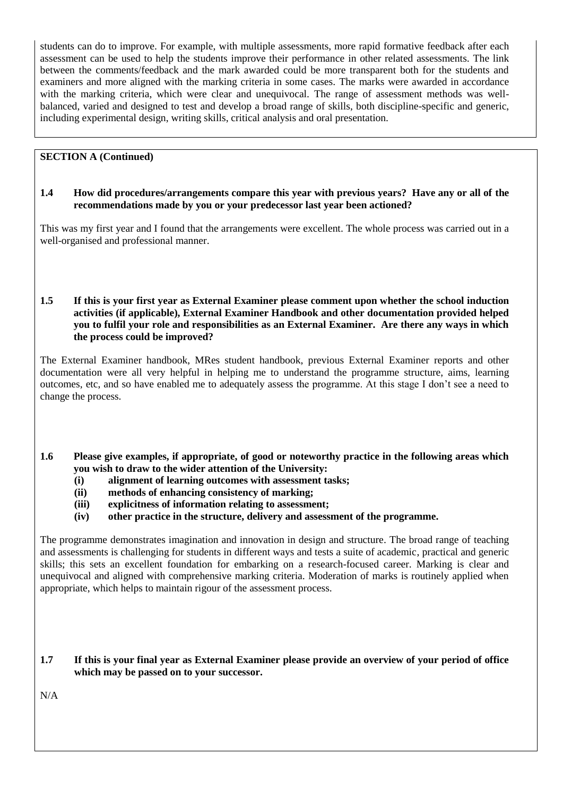students can do to improve. For example, with multiple assessments, more rapid formative feedback after each assessment can be used to help the students improve their performance in other related assessments. The link between the comments/feedback and the mark awarded could be more transparent both for the students and examiners and more aligned with the marking criteria in some cases. The marks were awarded in accordance with the marking criteria, which were clear and unequivocal. The range of assessment methods was wellbalanced, varied and designed to test and develop a broad range of skills, both discipline-specific and generic, including experimental design, writing skills, critical analysis and oral presentation.

# **SECTION A (Continued)**

#### **1.4 How did procedures/arrangements compare this year with previous years? Have any or all of the recommendations made by you or your predecessor last year been actioned?**

This was my first year and I found that the arrangements were excellent. The whole process was carried out in a well-organised and professional manner.

#### **1.5 If this is your first year as External Examiner please comment upon whether the school induction activities (if applicable), External Examiner Handbook and other documentation provided helped you to fulfil your role and responsibilities as an External Examiner. Are there any ways in which the process could be improved?**

The External Examiner handbook, MRes student handbook, previous External Examiner reports and other documentation were all very helpful in helping me to understand the programme structure, aims, learning outcomes, etc, and so have enabled me to adequately assess the programme. At this stage I don't see a need to change the process.

- **1.6 Please give examples, if appropriate, of good or noteworthy practice in the following areas which you wish to draw to the wider attention of the University:**
	- **(i) alignment of learning outcomes with assessment tasks;**
	- **(ii) methods of enhancing consistency of marking;**
	- **(iii) explicitness of information relating to assessment;**
	- **(iv) other practice in the structure, delivery and assessment of the programme.**

The programme demonstrates imagination and innovation in design and structure. The broad range of teaching and assessments is challenging for students in different ways and tests a suite of academic, practical and generic skills; this sets an excellent foundation for embarking on a research-focused career. Marking is clear and unequivocal and aligned with comprehensive marking criteria. Moderation of marks is routinely applied when appropriate, which helps to maintain rigour of the assessment process.

# **1.7 If this is your final year as External Examiner please provide an overview of your period of office which may be passed on to your successor.**

N/A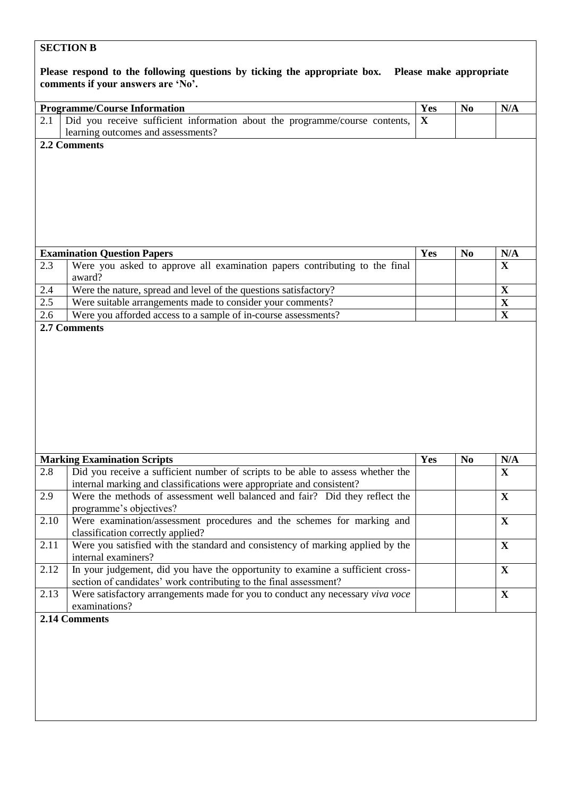# **SECTION B**

| Please respond to the following questions by ticking the appropriate box. Please make appropriate<br>comments if your answers are 'No'. |                                                                                                                                                                                       |             |                |                    |  |  |
|-----------------------------------------------------------------------------------------------------------------------------------------|---------------------------------------------------------------------------------------------------------------------------------------------------------------------------------------|-------------|----------------|--------------------|--|--|
|                                                                                                                                         | <b>Programme/Course Information</b>                                                                                                                                                   | Yes         | N <sub>0</sub> | N/A                |  |  |
| 2.1                                                                                                                                     | Did you receive sufficient information about the programme/course contents,                                                                                                           | $\mathbf X$ |                |                    |  |  |
|                                                                                                                                         | learning outcomes and assessments?                                                                                                                                                    |             |                |                    |  |  |
|                                                                                                                                         | 2.2 Comments                                                                                                                                                                          |             |                |                    |  |  |
|                                                                                                                                         |                                                                                                                                                                                       |             |                |                    |  |  |
|                                                                                                                                         | <b>Examination Question Papers</b>                                                                                                                                                    | Yes         | N <sub>0</sub> | N/A                |  |  |
| 2.3                                                                                                                                     | Were you asked to approve all examination papers contributing to the final                                                                                                            |             |                | $\mathbf X$        |  |  |
|                                                                                                                                         | award?                                                                                                                                                                                |             |                |                    |  |  |
| 2.4                                                                                                                                     | Were the nature, spread and level of the questions satisfactory?                                                                                                                      |             |                | $\mathbf X$        |  |  |
| 2.5                                                                                                                                     | Were suitable arrangements made to consider your comments?                                                                                                                            |             |                | $\mathbf X$        |  |  |
| 2.6                                                                                                                                     | Were you afforded access to a sample of in-course assessments?<br>2.7 Comments                                                                                                        |             |                | $\mathbf X$        |  |  |
|                                                                                                                                         |                                                                                                                                                                                       |             |                |                    |  |  |
|                                                                                                                                         | <b>Marking Examination Scripts</b>                                                                                                                                                    | Yes         | N <sub>0</sub> |                    |  |  |
| 2.8                                                                                                                                     | Did you receive a sufficient number of scripts to be able to assess whether the                                                                                                       |             |                |                    |  |  |
| 2.9                                                                                                                                     |                                                                                                                                                                                       |             |                | N/A<br>$\mathbf X$ |  |  |
| 2.10                                                                                                                                    | internal marking and classifications were appropriate and consistent?<br>Were the methods of assessment well balanced and fair? Did they reflect the                                  |             |                | X                  |  |  |
| 2.11                                                                                                                                    | programme's objectives?<br>Were examination/assessment procedures and the schemes for marking and                                                                                     |             |                | $\mathbf X$        |  |  |
| 2.12                                                                                                                                    | classification correctly applied?<br>Were you satisfied with the standard and consistency of marking applied by the<br>internal examiners?                                            |             |                | $\mathbf X$        |  |  |
|                                                                                                                                         | In your judgement, did you have the opportunity to examine a sufficient cross-                                                                                                        |             |                | $\mathbf X$        |  |  |
| 2.13                                                                                                                                    | section of candidates' work contributing to the final assessment?<br>Were satisfactory arrangements made for you to conduct any necessary viva voce<br>examinations?<br>2.14 Comments |             |                | $\mathbf X$        |  |  |